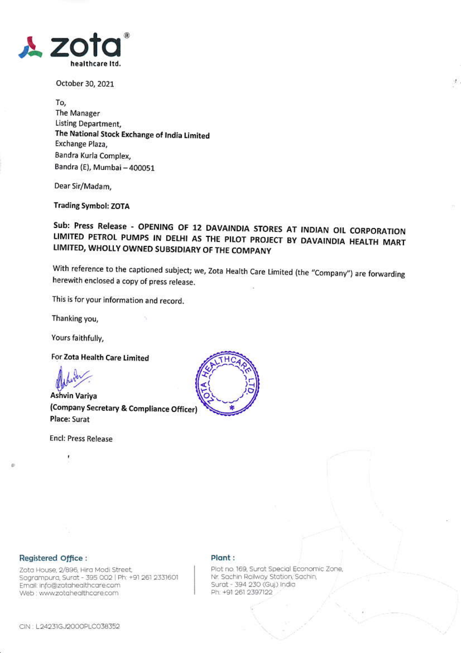

October 30, 2021

To, The Manager **Listing Department,** The National Stock Exchange of India Limited Exchange Plaza, Bandra Kurla Complex, Bandra (E), Mumbai - 400051

Dear Sir/Madam,

**Trading Symbol: ZOTA** 

Sub: Press Release - OPENING OF 12 DAVAINDIA STORES AT INDIAN OIL CORPORATION LIMITED PETROL PUMPS IN DELHI AS THE PILOT PROJECT BY DAVAINDIA HEALTH MART LIMITED, WHOLLY OWNED SUBSIDIARY OF THE COMPANY

With reference to the captioned subject; we, Zota Health Care Limited (the "Company") are forwarding herewith enclosed a copy of press release.

This is for your information and record.

Thanking you,

Yours faithfully,

For Zota Health Care Limited

**Ashvin Variva** (Company Secretary & Compliance Officer) Place: Surat

**Encl: Press Release** 

ī



### Registered Office :

Zota House, 2/896, Hira Modi Street, Sagrampura, Surat - 395 002 | Ph: +91 261 2331601 Email: info@zotahealthcare.com Web : www.zotahealthcare.com

#### Plant:

Plot no. 169, Surat Special Economic Zone, Nr. Sachin Railway Station, Sachin, Surat - 394 230 (Guj) India Ph: +91 261 2397122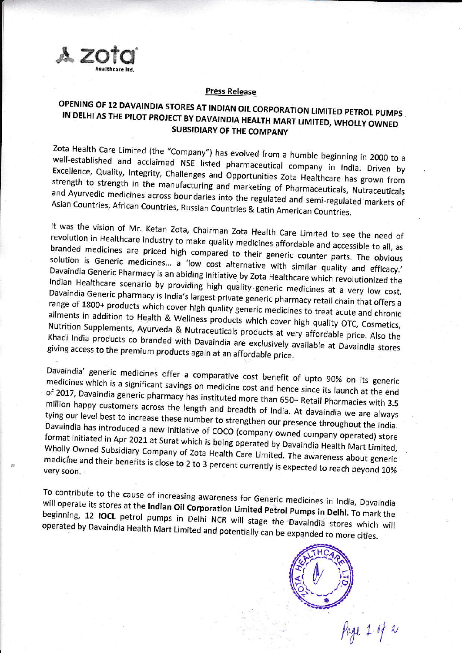

#### **Press Release**

## OPENING OF 12 DAVAINDIA STORES AT INDIAN OIL CORPORATION LIMITED PETROL PUMPS IN DELHI AS THE PILOT PROJECT BY DAVAINDIA HEALTH MART LIMITED, WHOLLY OWNED **SUBSIDIARY OF THE COMPANY**

Zota Health Care Limited (the "Company") has evolved from a humble beginning in 2000 to a well-established and acclaimed NSE listed pharmaceutical company in India. Driven by Excellence, Quality, Integrity, Challenges and Opportunities Zota Healthcare has grown from strength to strength in the manufacturing and marketing of Pharmaceuticals, Nutraceuticals and Ayurvedic medicines across boundaries into the regulated and semi-regulated markets of Asian Countries, African Countries, Russian Countries & Latin American Countries.

It was the vision of Mr. Ketan Zota, Chairman Zota Health Care Limited to see the need of revolution in Healthcare industry to make quality medicines affordable and accessible to all, as branded medicines are priced high compared to their generic counter parts. The obvious solution is Generic medicines... a 'low cost alternative with similar quality and efficacy.' Davaindia Generic Pharmacy is an abiding initiative by Zota Healthcare which revolutionized the Indian Healthcare scenario by providing high quality generic medicines at a very low cost. Davaindia Generic pharmacy is India's largest private generic pharmacy retail chain that offers a range of 1800+ products which cover high quality generic medicines to treat acute and chronic ailments in addition to Health & Wellness products which cover high quality OTC, Cosmetics, Nutrition Supplements, Ayurveda & Nutraceuticals products at very affordable price. Also the Khadi India products co branded with Davaindia are exclusively available at Davaindia stores giving access to the premium products again at an affordable price.

Davaindia' generic medicines offer a comparative cost benefit of upto 90% on its generic medicines which is a significant savings on medicine cost and hence since its launch at the end of 2017, Davaindia generic pharmacy has instituted more than 650+ Retail Pharmacies with 3.5 million happy customers across the length and breadth of India. At davaindia we are always tying our level best to increase these number to strengthen our presence throughout the India. Davaindia has introduced a new initiative of COCO (company owned company operated) store format initiated in Apr 2021 at Surat which is being operated by Davaindia Health Mart Limited, Wholly Owned Subsidiary Company of Zota Health Care Limited. The awareness about generic medicine and their benefits is close to 2 to 3 percent currently is expected to reach beyond 10%

To contribute to the cause of increasing awareness for Generic medicines in India, Davaindia will operate its stores at the Indian Oil Corporation Limited Petrol Pumps in Delhi. To mark the beginning, 12 IOCL petrol pumps in Delhi NCR will stage the Davaindia stores which will operated by Davaindia Health Mart Limited and potentially can be expanded to more cities.



Page 1 of 2